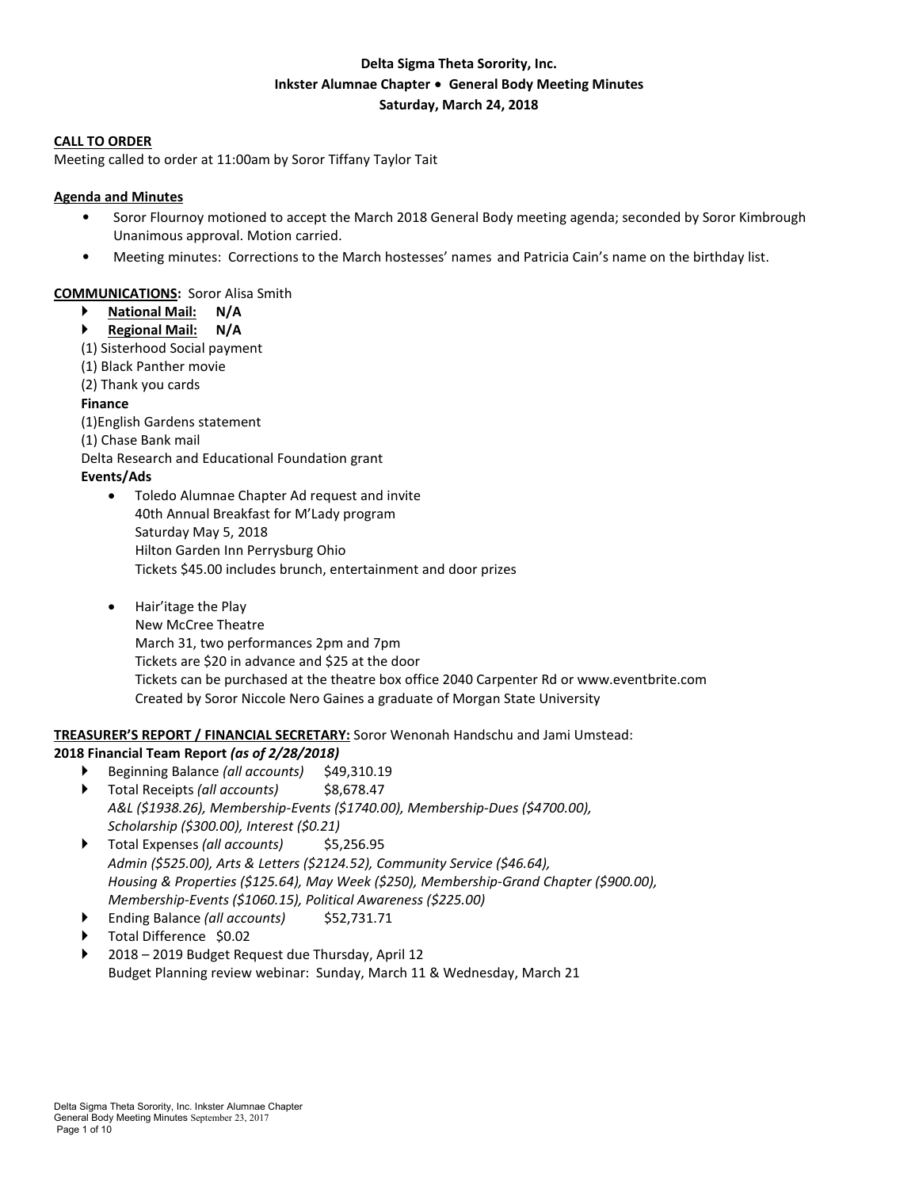## **Delta Sigma Theta Sorority, Inc. Inkster Alumnae Chapter** ∙ **General Body Meeting Minutes Saturday, March 24, 2018**

#### **CALL TO ORDER**

Meeting called to order at 11:00am by Soror Tiffany Taylor Tait

## **Agenda and Minutes**

- Soror Flournoy motioned to accept the March 2018 General Body meeting agenda; seconded by Soror Kimbrough Unanimous approval. Motion carried.
- Meeting minutes: Corrections to the March hostesses' names and Patricia Cain's name on the birthday list.

## **COMMUNICATIONS:** Soror Alisa Smith

- **National Mail: N/A**
- **Regional Mail: N/A**
- (1) Sisterhood Social payment
- (1) Black Panther movie
- (2) Thank you cards

#### **Finance**

- (1)English Gardens statement
- (1) Chase Bank mail
- Delta Research and Educational Foundation grant

## **Events/Ads**

- Toledo Alumnae Chapter Ad request and invite 40th Annual Breakfast for M'Lady program Saturday May 5, 2018 Hilton Garden Inn Perrysburg Ohio Tickets \$45.00 includes brunch, entertainment and door prizes
- Hair'itage the Play New McCree Theatre March 31, two performances 2pm and 7pm Tickets are \$20 in advance and \$25 at the door Tickets can be purchased at the theatre box office 2040 Carpenter Rd or www.eventbrite.com Created by Soror Niccole Nero Gaines a graduate of Morgan State University

## **TREASURER'S REPORT / FINANCIAL SECRETARY:** Soror Wenonah Handschu and Jami Umstead:

## **2018 Financial Team Report** *(as of 2/28/2018)*

- ▶ Beginning Balance *(all accounts)* \$49,310.19
- Total Receipts *(all accounts)* \$8,678.47 *A&L (\$1938.26), Membership-Events (\$1740.00), Membership-Dues (\$4700.00), Scholarship (\$300.00), Interest (\$0.21)*
- Total Expenses *(all accounts)* \$5,256.95 *Admin (\$525.00), Arts & Letters (\$2124.52), Community Service (\$46.64), Housing & Properties (\$125.64), May Week (\$250), Membership-Grand Chapter (\$900.00), Membership-Events (\$1060.15), Political Awareness (\$225.00)*
- Ending Balance *(all accounts)* \$52,731.71
- Total Difference \$0.02
- 2018 2019 Budget Request due Thursday, April 12 Budget Planning review webinar: Sunday, March 11 & Wednesday, March 21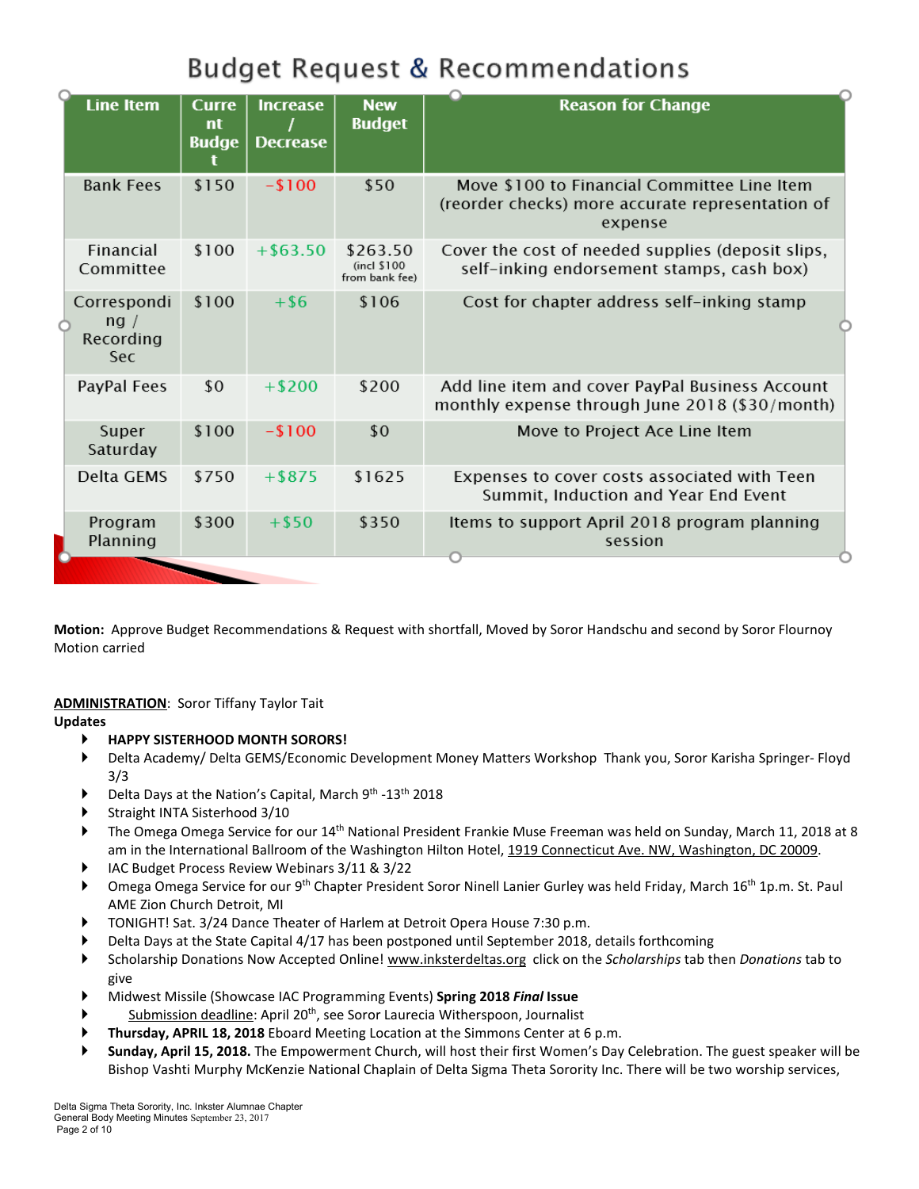# **Budget Request & Recommendations**

| <b>Line Item</b>                        | <b>Curre</b><br>nt<br><b>Budge</b> | <b>Increase</b><br><b>Decrease</b> | <b>New</b><br><b>Budget</b>               | <b>Reason for Change</b>                                                                                   |
|-----------------------------------------|------------------------------------|------------------------------------|-------------------------------------------|------------------------------------------------------------------------------------------------------------|
| <b>Bank Fees</b>                        | \$150                              | $-100$                             | \$50                                      | Move \$100 to Financial Committee Line Item<br>(reorder checks) more accurate representation of<br>expense |
| <b>Financial</b><br>Committee           | \$100                              | $+$ \$63.50                        | \$263.50<br>(incl \$100<br>from bank fee) | Cover the cost of needed supplies (deposit slips,<br>self-inking endorsement stamps, cash box)             |
| Correspondi<br>ng /<br>Recording<br>Sec | \$100                              | $+$ \$6                            | \$106                                     | Cost for chapter address self-inking stamp                                                                 |
| PayPal Fees                             | \$0                                | $+ $200$                           | \$200                                     | Add line item and cover PayPal Business Account<br>monthly expense through June 2018 (\$30/month)          |
| Super<br>Saturday                       | \$100                              | $-100$                             | \$0                                       | Move to Project Ace Line Item                                                                              |
| Delta GEMS                              | \$750                              | $+$ \$875                          | \$1625                                    | Expenses to cover costs associated with Teen<br>Summit, Induction and Year End Event                       |
| Program<br>Planning                     | \$300                              | $+ $50$                            | \$350                                     | Items to support April 2018 program planning<br>session                                                    |

**Motion:** Approve Budget Recommendations & Request with shortfall, Moved by Soror Handschu and second by Soror Flournoy Motion carried

## **ADMINISTRATION**: Soror Tiffany Taylor Tait

**Updates**

- **HAPPY SISTERHOOD MONTH SORORS!**
- Delta Academy/ Delta GEMS/Economic Development Money Matters Workshop Thank you, Soror Karisha Springer- Floyd 3/3
- Delta Days at the Nation's Capital, March 9<sup>th</sup> -13<sup>th</sup> 2018
- Straight INTA Sisterhood 3/10
- The Omega Omega Service for our 14th National President Frankie Muse Freeman was held on Sunday, March 11, 2018 at 8 am in the International Ballroom of the Washington Hilton Hotel, 1919 Connecticut Ave. NW, [Washington,](https://maps.google.com/?q=1919+Connecticut+Ave.+NW,+Washington,+DC+20009&entry=gmail&source=g) DC 20009.
- IAC Budget Process Review Webinars 3/11 & 3/22
- Omega Omega Service for our 9<sup>th</sup> Chapter President Soror Ninell Lanier Gurley was held Friday, March 16<sup>th</sup> 1p.m. St. Paul AME Zion Church Detroit, MI
- TONIGHT! Sat. 3/24 Dance Theater of Harlem at Detroit Opera House 7:30 p.m.
- Delta Days at the State Capital 4/17 has been postponed until September 2018, details forthcoming
- Scholarship Donations Now Accepted Online! [www.inksterdeltas.org](http://www.inksterdeltas.org/) click on the *Scholarships* tab then *Donations* tab to give
- Midwest Missile (Showcase IAC Programming Events) **Spring 2018** *Final* **Issue**
- Submission deadline: April 20<sup>th</sup>, see Soror Laurecia Witherspoon, Journalist
- **Thursday, APRIL 18, 2018** Eboard Meeting Location at the Simmons Center at 6 p.m.
- **Sunday, April 15, 2018.** The Empowerment Church, will host their first Women's Day Celebration. The guest speaker will be Bishop Vashti Murphy McKenzie National Chaplain of Delta Sigma Theta Sorority Inc. There will be two worship services,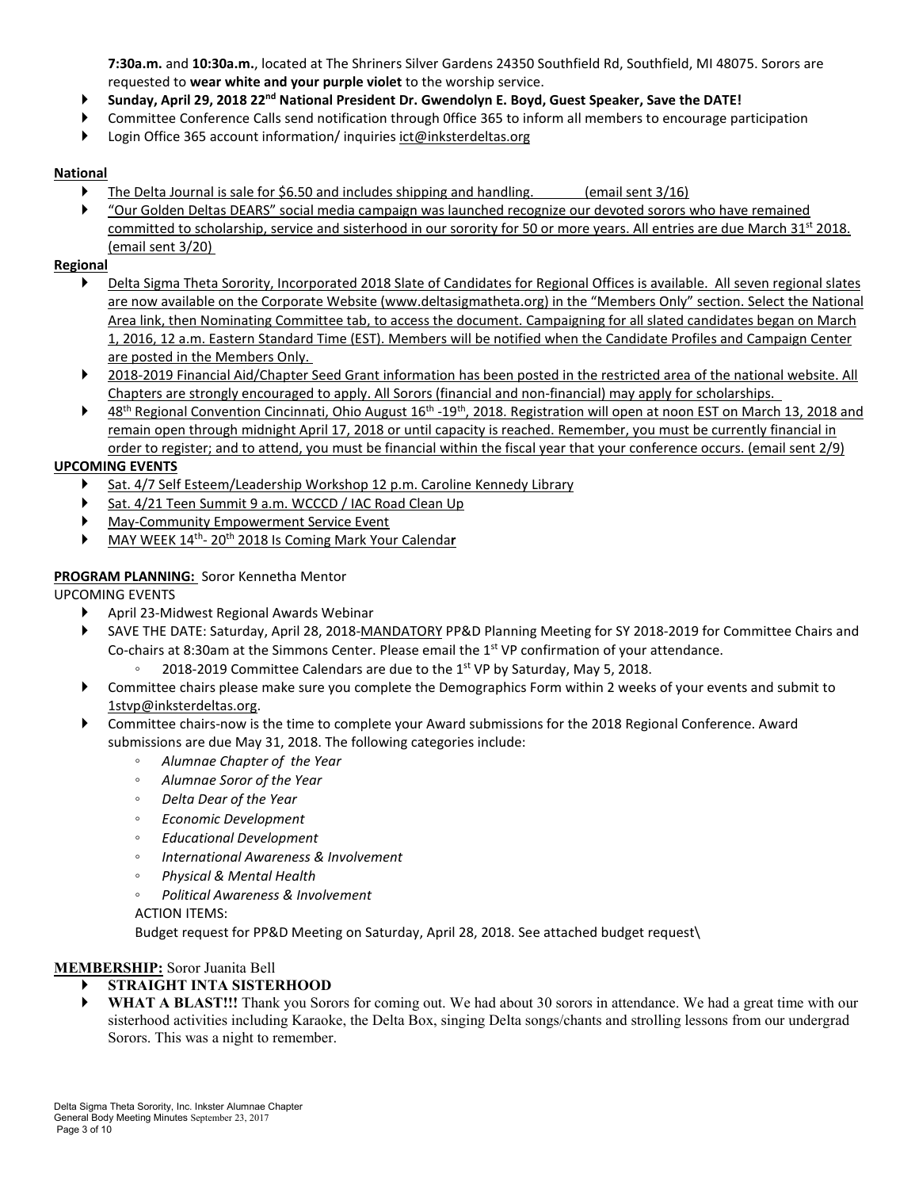**7:30a.m.** and **10:30a.m.**, located at The Shriners Silver Gardens 24350 Southfield Rd, Southfield, MI 48075. Sorors are requested to **wear white and your purple violet** to the worship service.

- **Sunday, April 29, 2018 22nd National President Dr. Gwendolyn E. Boyd, Guest Speaker, Save the DATE!**
- Committee Conference Calls send notification through 0ffice 365 to inform all members to encourage participation
- Login Office 365 account information/ inquiries [ict@inksterdeltas.org](mailto:ict@inksterdeltas.org)

## **National**

- The Delta Journal is sale for \$6.50 and includes shipping and handling. (email sent 3/16)
- "Our Golden Deltas DEARS" social media campaign was launched recognize our devoted sorors who have remained committed to scholarship, service and sisterhood in our sorority for 50 or more years. All entries are due March 31st 2018. (email sent 3/20)

## **Regional**

- Delta Sigma Theta Sorority, Incorporated 2018 Slate of Candidates for Regional Offices is available. All seven regional slates are now available on the Corporate Website [\(www.deltasigmatheta.org\)](http://deltasigmatheta.informz.net/z/cjUucD9taT03NDEyNjUyJnA9MSZ1PTEwNDUzNDY0NTQmbGk9NTIzODA0NjQ/index.html) in the "Members Only" section. Select the National Area link, then Nominating Committee tab, to access the document. Campaigning for all slated candidates began on March 1, 2016, 12 a.m. Eastern Standard Time (EST). Members will be notified when the Candidate Profiles and Campaign Center are posted in the Members Only.
- 2018-2019 Financial Aid/Chapter Seed Grant information has been posted in the restricted area of the national website. All Chapters are strongly encouraged to apply. All Sorors (financial and non-financial) may apply for scholarships.
- ▶ 48<sup>th</sup> Regional Convention Cincinnati, Ohio August 16<sup>th</sup> -19<sup>th</sup>, 2018. Registration will open at noon EST on March 13, 2018 and remain open through midnight April 17, 2018 or until capacity is reached. Remember, you must be currently financial in order to register; and to attend, you must be financial within the fiscal year that your conference occurs. (email sent 2/9)

## **UPCOMING EVENTS**

- Sat. 4/7 Self Esteem/Leadership Workshop 12 p.m. Caroline Kennedy Library
- Sat. 4/21 Teen Summit 9 a.m. WCCCD / IAC Road Clean Up
- May-Community Empowerment Service Event
- MAY WEEK 14th- 20th 2018 Is Coming Mark Your Calenda**r**

## **PROGRAM PLANNING:** Soror Kennetha Mentor

UPCOMING EVENTS

- April 23-Midwest Regional Awards Webinar
- SAVE THE DATE: Saturday, April 28, 2018-MANDATORY PP&D Planning Meeting for SY 2018-2019 for Committee Chairs and Co-chairs at 8:30am at the Simmons Center. Please email the 1<sup>st</sup> VP confirmation of your attendance.
	- 2018-2019 Committee Calendars are due to the  $1<sup>st</sup>$  VP by Saturday, May 5, 2018.
- Committee chairs please make sure you complete the Demographics Form within 2 weeks of your events and submit to [1stvp@inksterdeltas.org.](mailto:1stvp@inksterdeltas.org)
- Committee chairs-now is the time to complete your Award submissions for the 2018 Regional Conference. Award submissions are due May 31, 2018. The following categories include:
	- *Alumnae Chapter of the Year*
	- *Alumnae Soror of the Year*
	- *Delta Dear of the Year*
	- *Economic Development*
	- *Educational Development*
	- *International Awareness & Involvement*
	- *Physical & Mental Health*
	- *Political Awareness & Involvement*

ACTION ITEMS:

Budget request for PP&D Meeting on Saturday, April 28, 2018. See attached budget request\

## **MEMBERSHIP:** Soror Juanita Bell

- **STRAIGHT INTA SISTERHOOD**
- **WHAT A BLAST!!!** Thank you Sorors for coming out. We had about 30 sorors in attendance. We had a great time with our sisterhood activities including Karaoke, the Delta Box, singing Delta songs/chants and strolling lessons from our undergrad Sorors. This was a night to remember.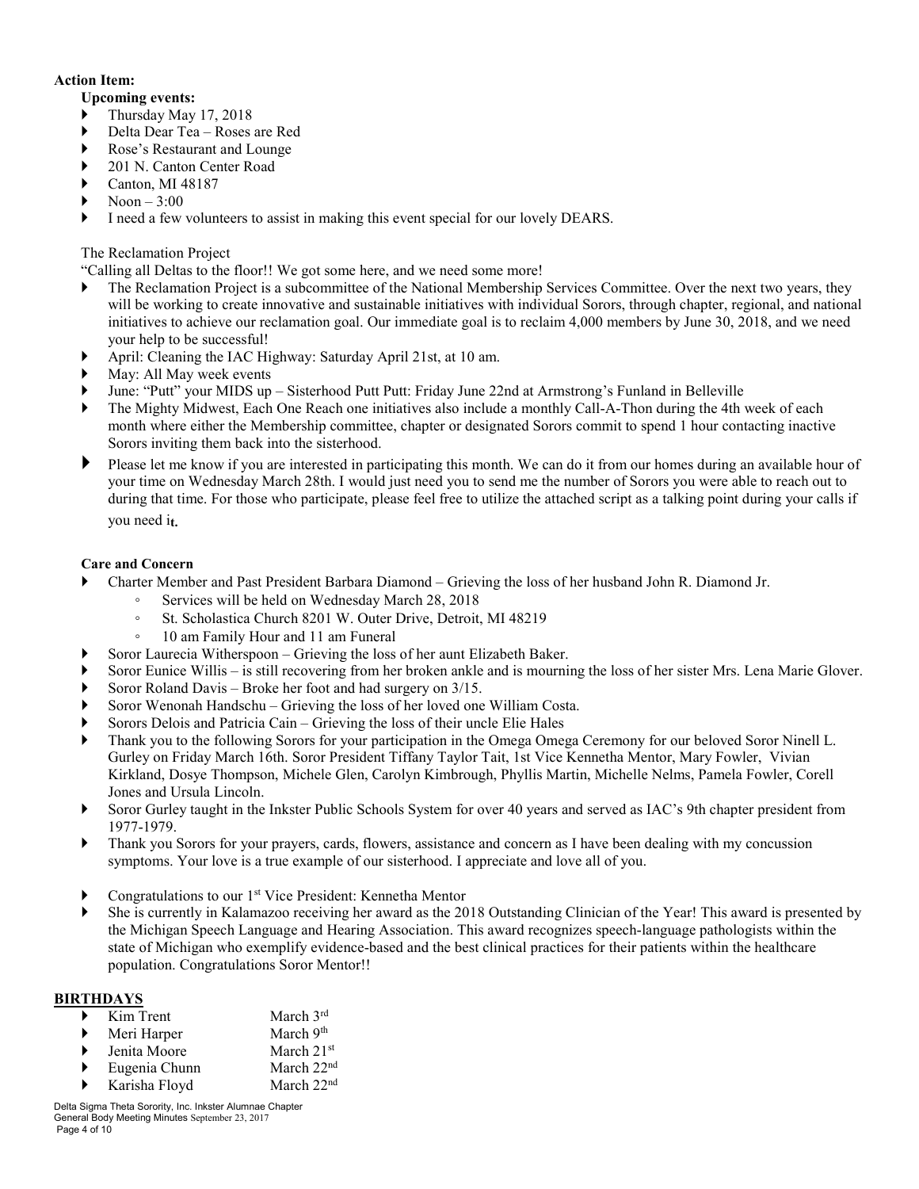## **Action Item:**

## **Upcoming events:**

- Thursday May 17, 2018
- Delta Dear Tea Roses are Red
- Rose's Restaurant and Lounge
- 201 N. Canton Center Road
- Canton, MI 48187
- $Noon 3:00$
- I need a few volunteers to assist in making this event special for our lovely DEARS.

## The Reclamation Project

"Calling all Deltas to the floor!! We got some here, and we need some more!

- The Reclamation Project is a subcommittee of the National Membership Services Committee. Over the next two years, they will be working to create innovative and sustainable initiatives with individual Sorors, through chapter, regional, and national initiatives to achieve our reclamation goal. Our immediate goal is to reclaim 4,000 members by June 30, 2018, and we need your help to be successful!
- April: Cleaning the IAC Highway: Saturday April 21st, at 10 am.
- May: All May week events
- June: "Putt" your MIDS up Sisterhood Putt Putt: Friday June 22nd at Armstrong's Funland in Belleville
- The Mighty Midwest, Each One Reach one initiatives also include a monthly Call-A-Thon during the 4th week of each month where either the Membership committee, chapter or designated Sorors commit to spend 1 hour contacting inactive Sorors inviting them back into the sisterhood.
- Please let me know if you are interested in participating this month. We can do it from our homes during an available hour of your time on Wednesday March 28th. I would just need you to send me the number of Sorors you were able to reach out to during that time. For those who participate, please feel free to utilize the attached script as a talking point during your calls if you need i**t.**

## **Care and Concern**

- Charter Member and Past President Barbara Diamond Grieving the loss of her husband John R. Diamond Jr.
	- Services will be held on Wednesday March 28, 2018
	- St. Scholastica Church 8201 W. Outer Drive, Detroit, MI 48219
	- 10 am Family Hour and 11 am Funeral
- Soror Laurecia Witherspoon Grieving the loss of her aunt Elizabeth Baker.
- Soror Eunice Willis is still recovering from her broken ankle and is mourning the loss of her sister Mrs. Lena Marie Glover.
- Soror Roland Davis Broke her foot and had surgery on 3/15.
- Soror Wenonah Handschu Grieving the loss of her loved one William Costa.
- Sorors Delois and Patricia Cain Grieving the loss of their uncle Elie Hales
- Thank you to the following Sorors for your participation in the Omega Omega Ceremony for our beloved Soror Ninell L. Gurley on Friday March 16th. Soror President Tiffany Taylor Tait, 1st Vice Kennetha Mentor, Mary Fowler, Vivian Kirkland, Dosye Thompson, Michele Glen, Carolyn Kimbrough, Phyllis Martin, Michelle Nelms, Pamela Fowler, Corell Jones and Ursula Lincoln.
- Soror Gurley taught in the Inkster Public Schools System for over 40 years and served as IAC's 9th chapter president from 1977-1979.
- Thank you Sorors for your prayers, cards, flowers, assistance and concern as I have been dealing with my concussion symptoms. Your love is a true example of our sisterhood. I appreciate and love all of you.
- Congratulations to our 1<sup>st</sup> Vice President: Kennetha Mentor
- She is currently in Kalamazoo receiving her award as the 2018 Outstanding Clinician of the Year! This award is presented by the Michigan Speech Language and Hearing Association. This award recognizes speech-language pathologists within the state of Michigan who exemplify evidence-based and the best clinical practices for their patients within the healthcare population. Congratulations Soror Mentor!!

## **BIRTHDAYS**

|   | Kim Trent     | March 3rd              |
|---|---------------|------------------------|
|   | Meri Harper   | March 9th              |
|   | Jenita Moore  | March $21st$           |
| ▶ | Eugenia Chunn | March 22 <sup>nd</sup> |
| ▶ | Karisha Floyd | March 22 <sup>nd</sup> |

Delta Sigma Theta Sorority, Inc. Inkster Alumnae Chapter General Body Meeting Minutes September 23, 2017 Page 4 of 10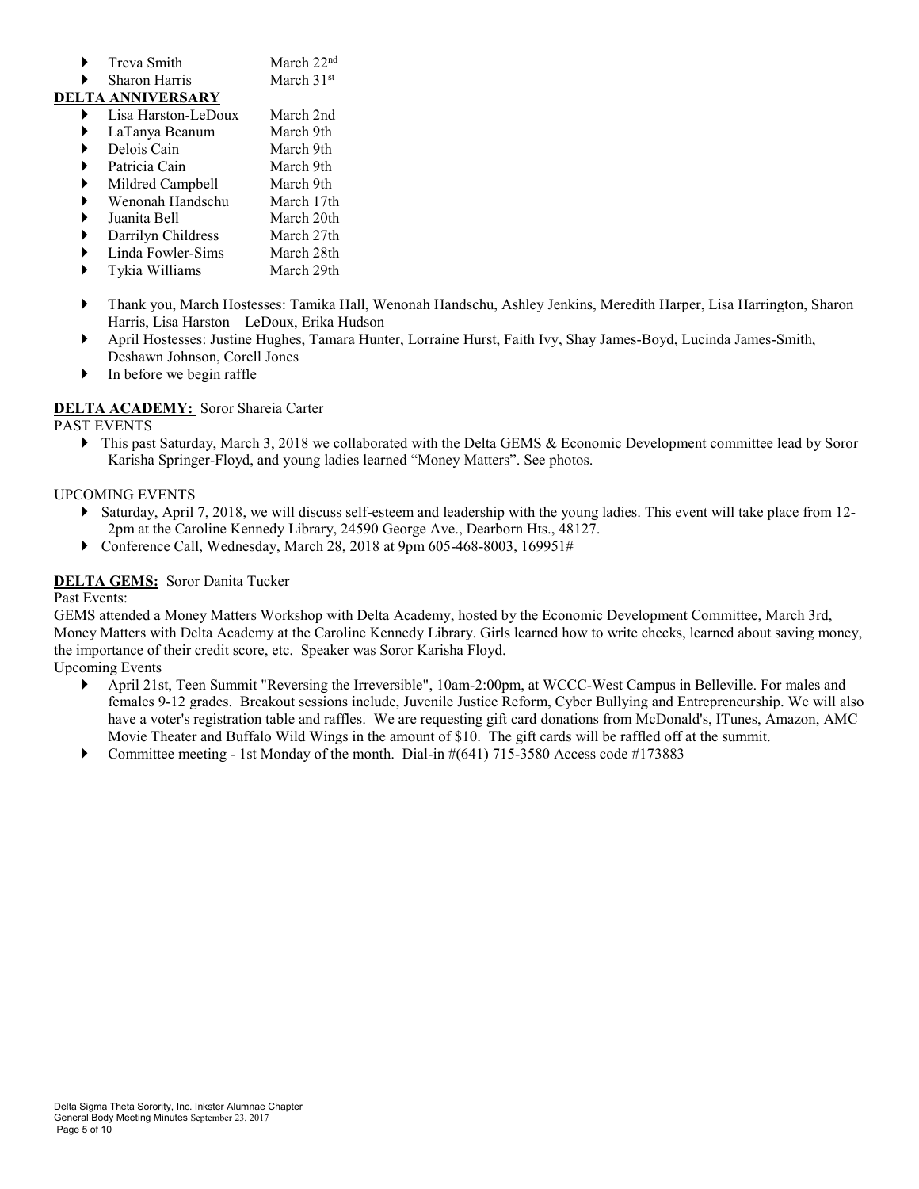| Treva Smith | March $22nd$ |
|-------------|--------------|
|             |              |

 $\blacktriangleright$  Sharon Harris March 31<sup>st</sup>

## **DELTA ANNIVERSARY**

- Lisa Harston-LeDoux March 2nd
- LaTanya Beanum March 9th
- Delois Cain March 9th
- Patricia Cain March 9th
- Mildred Campbell March 9th
- Wenonah Handschu March 17th
- Juanita Bell March 20th
- Darrilyn Childress March 27th
- Linda Fowler-Sims March 28th Tykia Williams March 29th
- Thank you, March Hostesses: Tamika Hall, Wenonah Handschu, Ashley Jenkins, Meredith Harper, Lisa Harrington, Sharon Harris, Lisa Harston – LeDoux, Erika Hudson
- April Hostesses: Justine Hughes, Tamara Hunter, Lorraine Hurst, Faith Ivy, Shay James-Boyd, Lucinda James-Smith, Deshawn Johnson, Corell Jones
- $\blacktriangleright$  In before we begin raffle

## **DELTA ACADEMY:** Soror Shareia Carter

## PAST EVENTS

▶ This past Saturday, March 3, 2018 we collaborated with the Delta GEMS & Economic Development committee lead by Soror Karisha Springer-Floyd, and young ladies learned "Money Matters". See photos.

## UPCOMING EVENTS

- Saturday, April 7, 2018, we will discuss self-esteem and leadership with the young ladies. This event will take place from 12- 2pm at the Caroline Kennedy Library, 24590 George Ave., Dearborn Hts., 48127.
- Conference Call, Wednesday, March 28, 2018 at 9pm 605-468-8003, 169951#

## **DELTA GEMS:** Soror Danita Tucker

## Past Events:

GEMS attended a Money Matters Workshop with Delta Academy, hosted by the Economic Development Committee, March 3rd, Money Matters with Delta Academy at the Caroline Kennedy Library. Girls learned how to write checks, learned about saving money, the importance of their credit score, etc. Speaker was Soror Karisha Floyd.

Upcoming Events

- April 21st, Teen Summit "Reversing the Irreversible", 10am-2:00pm, at WCCC-West Campus in Belleville. For males and females 9-12 grades. Breakout sessions include, Juvenile Justice Reform, Cyber Bullying and Entrepreneurship. We will also have a voter's registration table and raffles. We are requesting gift card donations from McDonald's, ITunes, Amazon, AMC Movie Theater and Buffalo Wild Wings in the amount of \$10. The gift cards will be raffled off at the summit.
- Committee meeting 1st Monday of the month. Dial-in  $\#(641)$  715-3580 Access code  $\#173883$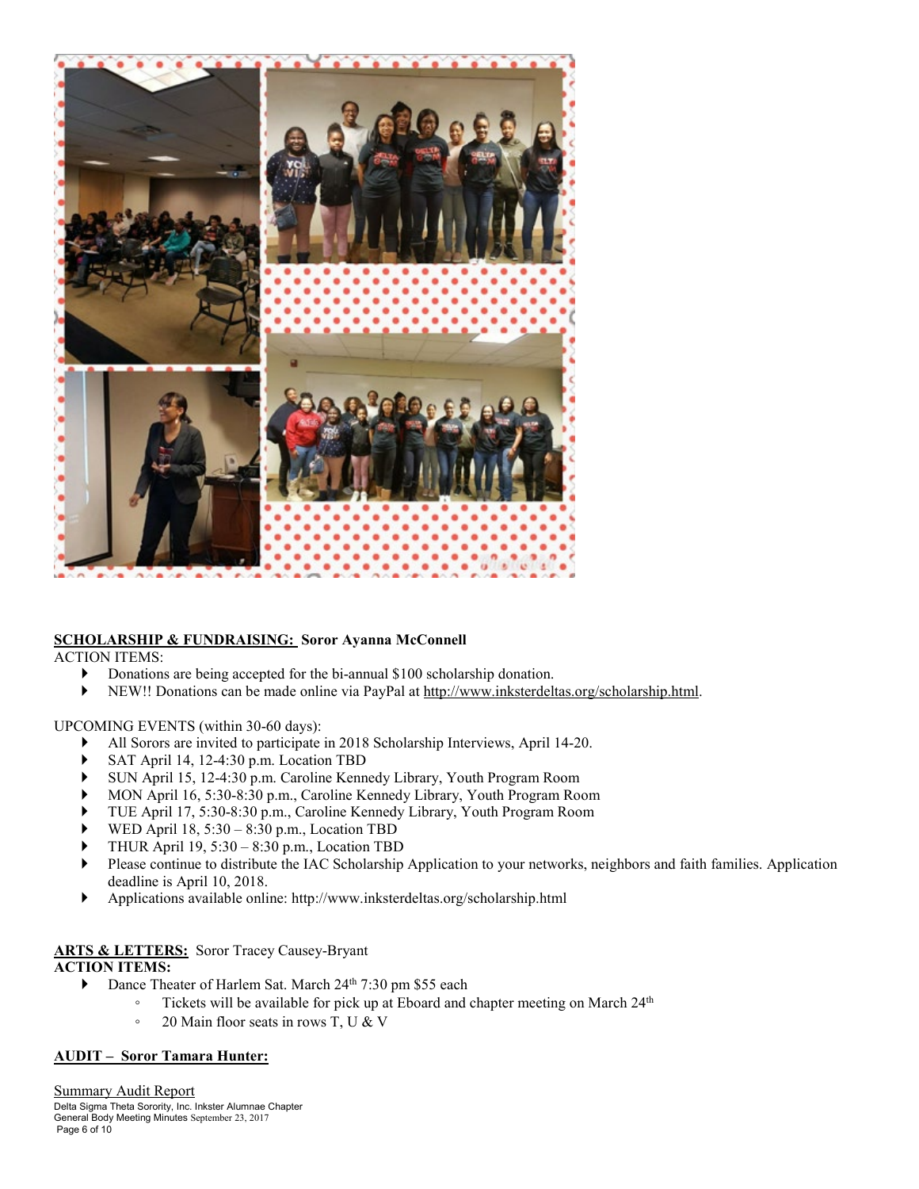

## **SCHOLARSHIP & FUNDRAISING: Soror Ayanna McConnell**

ACTION ITEMS:

- Donations are being accepted for the bi-annual \$100 scholarship donation.
- NEW!! Donations can be made online via PayPal at [http://www.inksterdeltas.org/scholarship.html.](http://www.inksterdeltas.org/scholarship.html)

## UPCOMING EVENTS (within 30-60 days):

- All Sorors are invited to participate in 2018 Scholarship Interviews, April 14-20.
- SAT April 14, 12-4:30 p.m. Location TBD
- SUN April 15, 12-4:30 p.m. Caroline Kennedy Library, Youth Program Room
- MON April 16, 5:30-8:30 p.m., Caroline Kennedy Library, Youth Program Room
- TUE April 17, 5:30-8:30 p.m., Caroline Kennedy Library, Youth Program Room
- WED April 18, 5:30 8:30 p.m., Location TBD
- THUR April 19, 5:30 8:30 p.m., Location TBD
- Please continue to distribute the IAC Scholarship Application to your networks, neighbors and faith families. Application deadline is April 10, 2018.
- Applications available online: http://www.inksterdeltas.org/scholarship.html

## **ARTS & LETTERS:** Soror Tracey Causey-Bryant

## **ACTION ITEMS:**

- Dance Theater of Harlem Sat. March 24<sup>th</sup> 7:30 pm \$55 each
	- Tickets will be available for pick up at Eboard and chapter meeting on March 24th
	- 20 Main floor seats in rows T, U & V

## **AUDIT – Soror Tamara Hunter:**

Delta Sigma Theta Sorority, Inc. Inkster Alumnae Chapter General Body Meeting Minutes September 23, 2017 Page 6 of 10 Summary Audit Report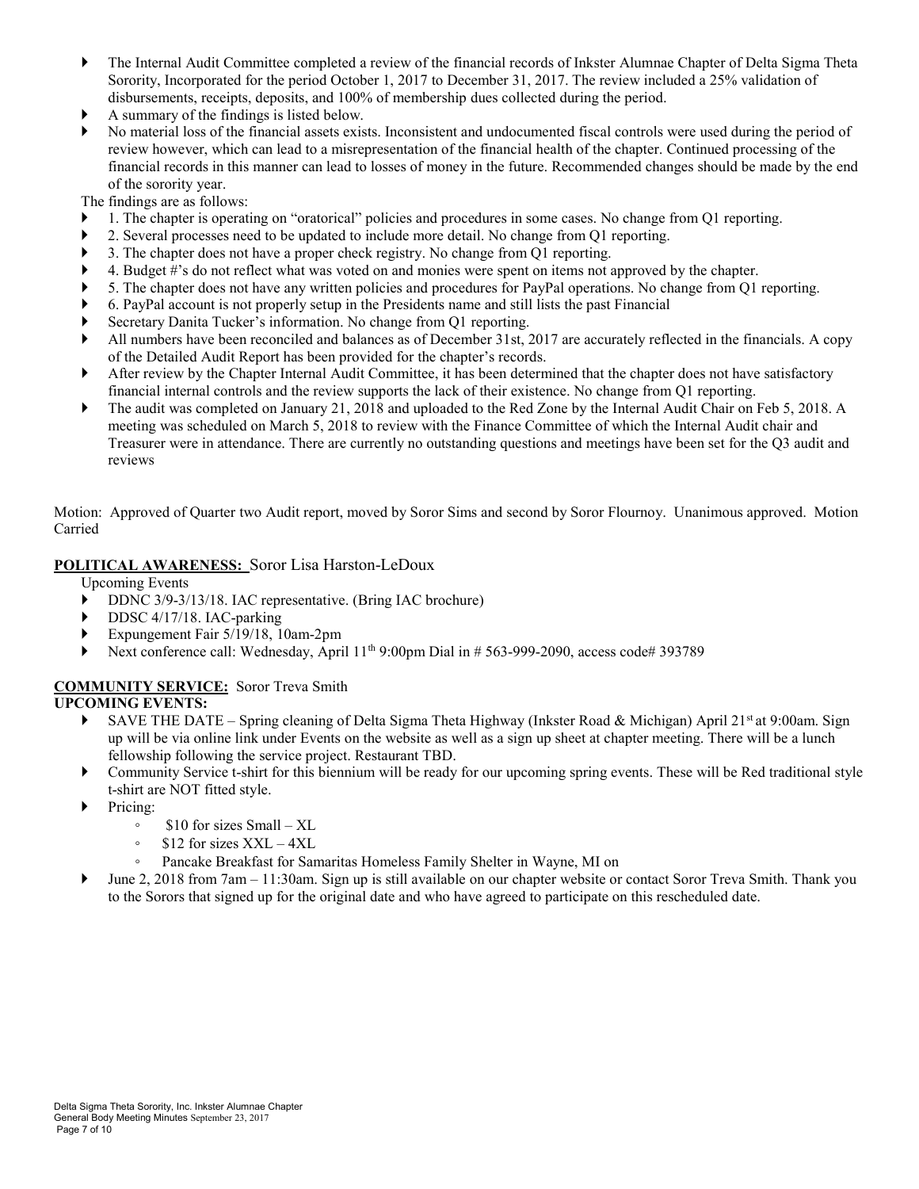- The Internal Audit Committee completed a review of the financial records of Inkster Alumnae Chapter of Delta Sigma Theta Sorority, Incorporated for the period October 1, 2017 to December 31, 2017. The review included a 25% validation of disbursements, receipts, deposits, and 100% of membership dues collected during the period.
- A summary of the findings is listed below.
- No material loss of the financial assets exists. Inconsistent and undocumented fiscal controls were used during the period of review however, which can lead to a misrepresentation of the financial health of the chapter. Continued processing of the financial records in this manner can lead to losses of money in the future. Recommended changes should be made by the end of the sorority year.

The findings are as follows:

- 1. The chapter is operating on "oratorical" policies and procedures in some cases. No change from Q1 reporting.
- 2. Several processes need to be updated to include more detail. No change from Q1 reporting.
- 3. The chapter does not have a proper check registry. No change from Q1 reporting.
- 4. Budget #'s do not reflect what was voted on and monies were spent on items not approved by the chapter.
- 5. The chapter does not have any written policies and procedures for PayPal operations. No change from Q1 reporting.
- 6. PayPal account is not properly setup in the Presidents name and still lists the past Financial
- Secretary Danita Tucker's information. No change from Q1 reporting.
- All numbers have been reconciled and balances as of December 31st, 2017 are accurately reflected in the financials. A copy of the Detailed Audit Report has been provided for the chapter's records.
- After review by the Chapter Internal Audit Committee, it has been determined that the chapter does not have satisfactory financial internal controls and the review supports the lack of their existence. No change from Q1 reporting.
- The audit was completed on January 21, 2018 and uploaded to the Red Zone by the Internal Audit Chair on Feb 5, 2018. A meeting was scheduled on March 5, 2018 to review with the Finance Committee of which the Internal Audit chair and Treasurer were in attendance. There are currently no outstanding questions and meetings have been set for the Q3 audit and reviews

Motion: Approved of Quarter two Audit report, moved by Soror Sims and second by Soror Flournoy. Unanimous approved. Motion Carried

## **POLITICAL AWARENESS:** Soror Lisa Harston-LeDoux

Upcoming Events

- DDNC 3/9-3/13/18. IAC representative. (Bring IAC brochure)
- DDSC 4/17/18. IAC-parking
- Expungement Fair 5/19/18, 10am-2pm
- Next conference call: Wednesday, April 11<sup>th</sup> 9:00pm Dial in # 563-999-2090, access code# 393789

## **COMMUNITY SERVICE:** Soror Treva Smith

## **UPCOMING EVENTS:**

- SAVE THE DATE Spring cleaning of Delta Sigma Theta Highway (Inkster Road & Michigan) April 21st at 9:00am. Sign up will be via online link under Events on the website as well as a sign up sheet at chapter meeting. There will be a lunch fellowship following the service project. Restaurant TBD.
- Community Service t-shirt for this biennium will be ready for our upcoming spring events. These will be Red traditional style t-shirt are NOT fitted style.
- Pricing:
	- \$10 for sizes Small XL
	- \$12 for sizes XXL 4XL
	- Pancake Breakfast for Samaritas Homeless Family Shelter in Wayne, MI on
- $\blacktriangleright$  June 2, 2018 from 7am 11:30am. Sign up is still available on our chapter website or contact Soror Treva Smith. Thank you to the Sorors that signed up for the original date and who have agreed to participate on this rescheduled date.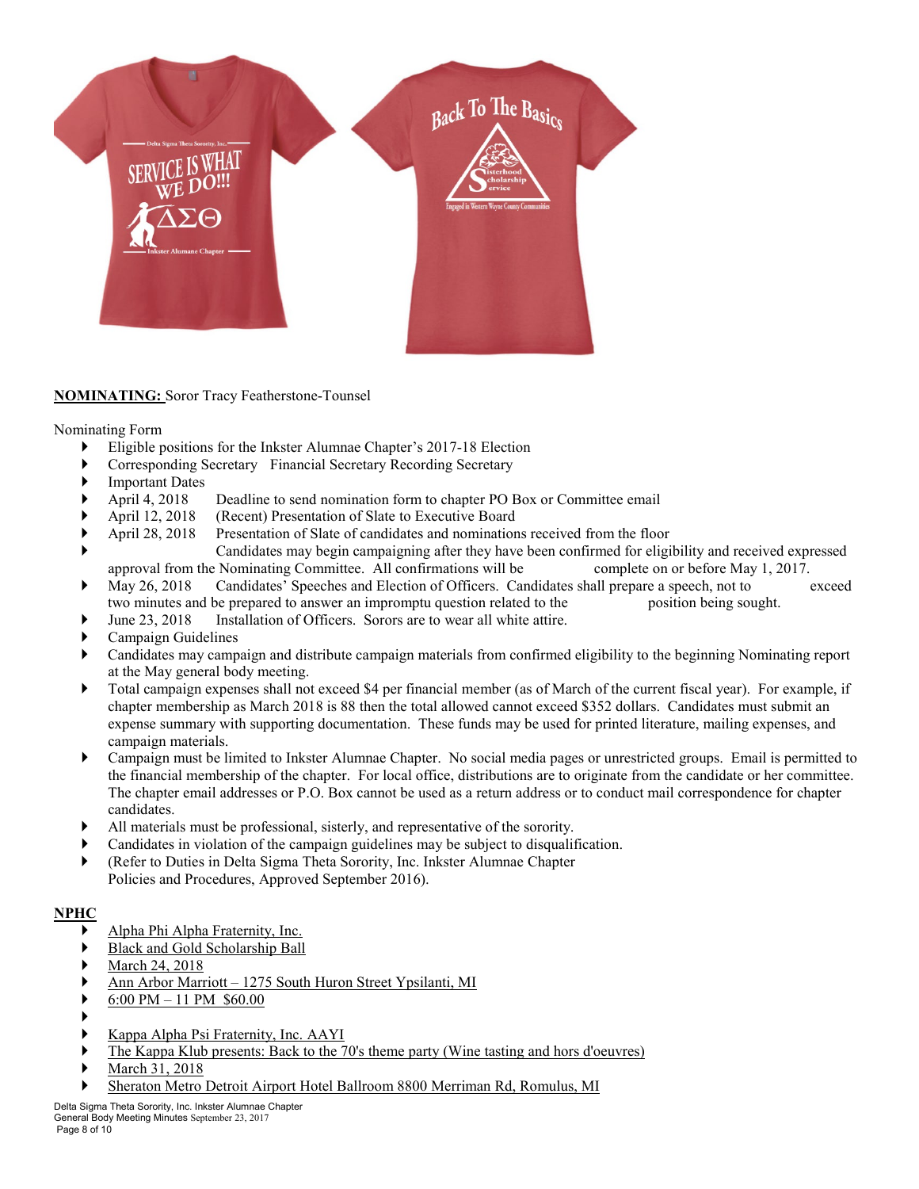

## **NOMINATING:** Soror Tracy Featherstone-Tounsel

Nominating Form

- Eligible positions for the Inkster Alumnae Chapter's 2017-18 Election
- Corresponding Secretary Financial Secretary Recording Secretary
- Important Dates
- April 4, 2018 Deadline to send nomination form to chapter PO Box or Committee email
- 
- April 12, 2018 (Recent) Presentation of Slate to Executive Board<br>April 28, 2018 Presentation of Slate of candidates and nomination Presentation of Slate of candidates and nominations received from the floor
- Candidates may begin campaigning after they have been confirmed for eligibility and received expressed approval from the Nominating Committee. All confirmations will be complete on or before May 1, 2017.
- May 26, 2018 Candidates' Speeches and Election of Officers. Candidates shall prepare a speech, not to exceed two minutes and be prepared to answer an impromptu question related to the position being sought.
- June 23, 2018 Installation of Officers. Sorors are to wear all white attire.
- Campaign Guidelines
- Candidates may campaign and distribute campaign materials from confirmed eligibility to the beginning Nominating report at the May general body meeting.
- Total campaign expenses shall not exceed \$4 per financial member (as of March of the current fiscal year). For example, if chapter membership as March 2018 is 88 then the total allowed cannot exceed \$352 dollars. Candidates must submit an expense summary with supporting documentation. These funds may be used for printed literature, mailing expenses, and campaign materials.
- Campaign must be limited to Inkster Alumnae Chapter. No social media pages or unrestricted groups. Email is permitted to the financial membership of the chapter. For local office, distributions are to originate from the candidate or her committee. The chapter email addresses or P.O. Box cannot be used as a return address or to conduct mail correspondence for chapter candidates.
- All materials must be professional, sisterly, and representative of the sorority.
- Candidates in violation of the campaign guidelines may be subject to disqualification.
- (Refer to Duties in Delta Sigma Theta Sorority, Inc. Inkster Alumnae Chapter Policies and Procedures, Approved September 2016).

## **NPHC**

- Alpha Phi Alpha Fraternity, Inc.
- Black and Gold Scholarship Ball
- March 24, 2018
- Ann Arbor Marriott 1275 South Huron Street Ypsilanti, MI
- 6:00 PM 11 PM \$60.00
- ▶
- Kappa Alpha Psi Fraternity, Inc. AAYI
- The Kappa Klub presents: Back to the 70's theme party (Wine tasting and hors d'oeuvres)
- March 31, 2018
- Sheraton Metro Detroit Airport Hotel Ballroom 8800 Merriman Rd, Romulus, MI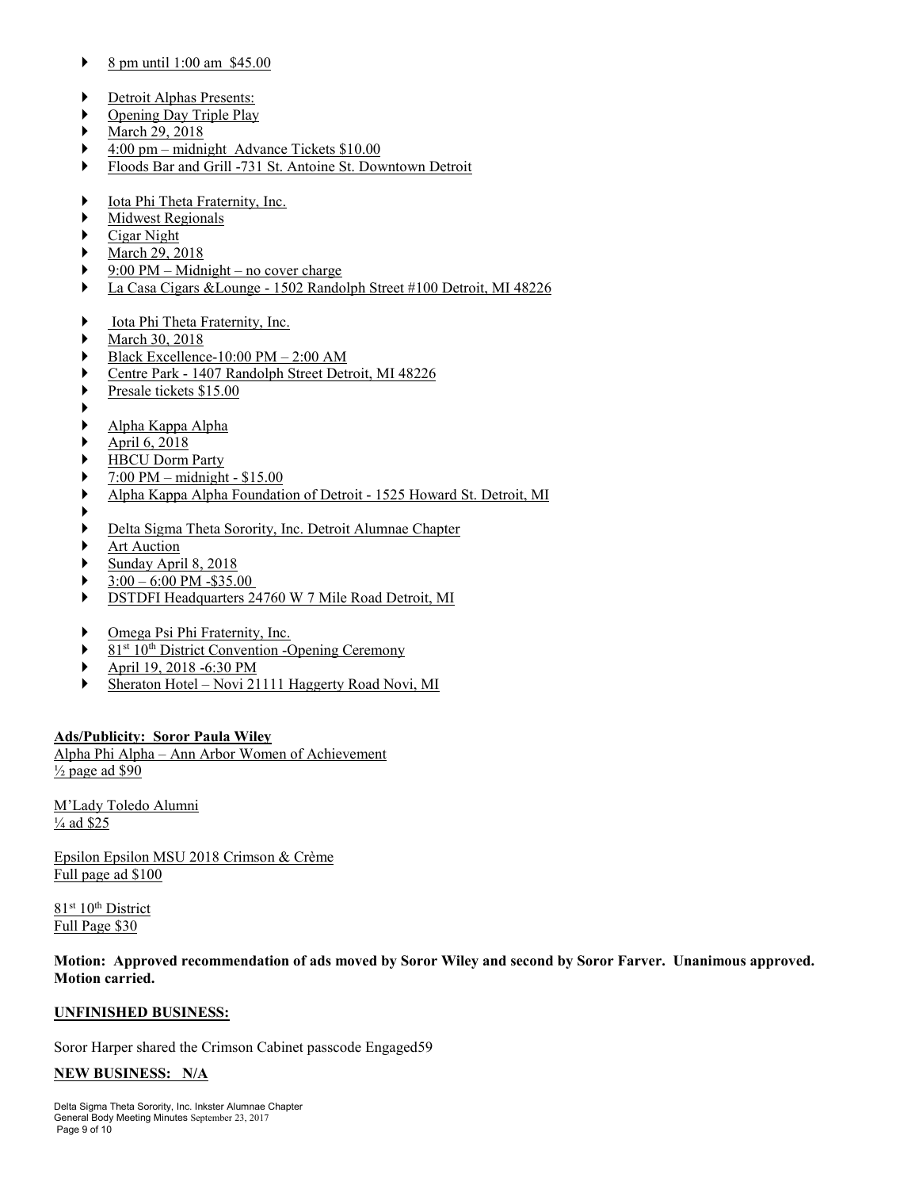- 8 pm until 1:00 am \$45.00
- Detroit Alphas Presents:
- Opening Day Triple Play
- March 29, 2018
- 4:00 pm midnight Advance Tickets \$10.00
- Floods Bar and Grill -731 St. Antoine St. Downtown Detroit
- Iota Phi Theta Fraternity, Inc.
- Midwest Regionals
- Cigar Night
- March 29, 2018
- 9:00 PM Midnight no cover charge
- La Casa Cigars &Lounge 1502 Randolph Street #100 Detroit, MI 48226
- Iota Phi Theta Fraternity, Inc.
- March 30, 2018
- Black Excellence-10:00 PM 2:00 AM
- Centre Park 1407 Randolph Street Detroit, MI 48226
- Presale tickets \$15.00
- ▶
- Alpha Kappa Alpha
- April 6, 2018
- HBCU Dorm Party
- 7:00 PM midnight \$15.00
- Alpha Kappa Alpha Foundation of Detroit 1525 Howard St. Detroit, MI
- ▶
- Delta Sigma Theta Sorority, Inc. Detroit Alumnae Chapter
- Art Auction
- Sunday April 8, 2018
- 3:00 6:00 PM -\$35.00
- DSTDFI Headquarters 24760 W 7 Mile Road Detroit, MI
- ▶ Omega Psi Phi Fraternity, Inc.
- $\triangleright$  81<sup>st</sup> 10<sup>th</sup> District Convention -Opening Ceremony
- April 19, 2018 -6:30 PM
- Sheraton Hotel Novi 21111 Haggerty Road Novi, MI

## **Ads/Publicity: Soror Paula Wiley**

Alpha Phi Alpha – Ann Arbor Women of Achievement ½ page ad \$90

M'Lady Toledo Alumni ¼ ad \$25

Epsilon Epsilon MSU 2018 Crimson & Crème Full page ad \$100

81st 10th District Full Page \$30

**Motion: Approved recommendation of ads moved by Soror Wiley and second by Soror Farver. Unanimous approved. Motion carried.**

## **UNFINISHED BUSINESS:**

Soror Harper shared the Crimson Cabinet passcode Engaged59

## **NEW BUSINESS: N/A**